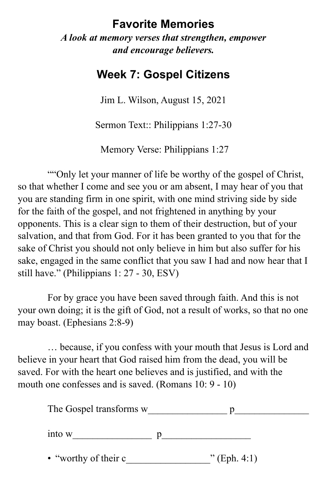## **Favorite Memories**

*A look at memory verses that strengthen, empower and encourage believers.* 

## **Week 7: Gospel Citizens**

Jim L. Wilson, August 15, 2021

Sermon Text:: Philippians 1:27-30

Memory Verse: Philippians 1:27

""Only let your manner of life be worthy of the gospel of Christ, so that whether I come and see you or am absent, I may hear of you that you are standing firm in one spirit, with one mind striving side by side for the faith of the gospel, and not frightened in anything by your opponents. This is a clear sign to them of their destruction, but of your salvation, and that from God. For it has been granted to you that for the sake of Christ you should not only believe in him but also suffer for his sake, engaged in the same conflict that you saw I had and now hear that I still have." (Philippians 1: 27 - 30, ESV)

For by grace you have been saved through faith. And this is not your own doing; it is the gift of God, not a result of works, so that no one may boast. (Ephesians 2:8-9)

… because, if you confess with your mouth that Jesus is Lord and believe in your heart that God raised him from the dead, you will be saved. For with the heart one believes and is justified, and with the mouth one confesses and is saved. (Romans 10: 9 - 10)

| The Gospel transforms w |                |
|-------------------------|----------------|
| into w                  |                |
| • "worthy of their c    | $"$ (Eph. 4:1) |